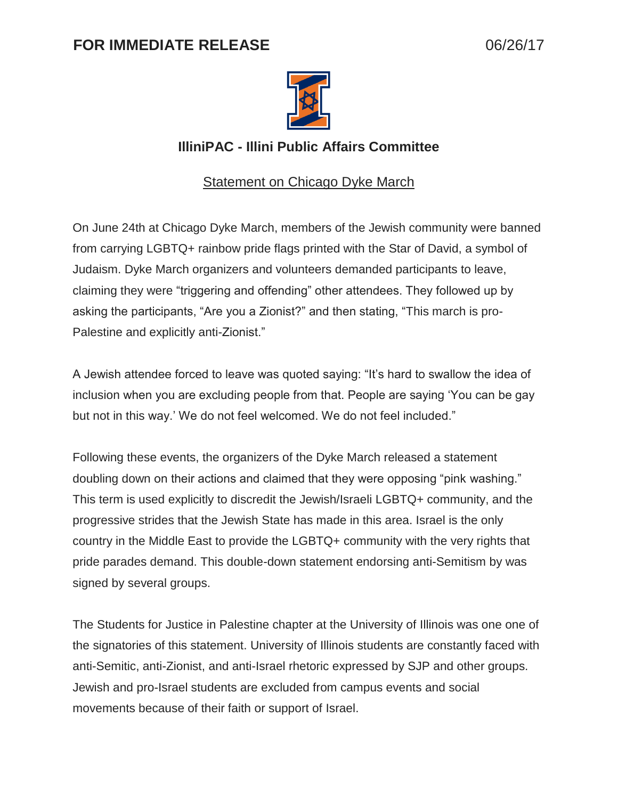## **FOR IMMEDIATE RELEASE** 06/26/17



## **IlliniPAC - Illini Public Affairs Committee**

## **Statement on Chicago Dyke March**

On June 24th at Chicago Dyke March, members of the Jewish community were banned from carrying LGBTQ+ rainbow pride flags printed with the Star of David, a symbol of Judaism. Dyke March organizers and volunteers demanded participants to leave, claiming they were "triggering and offending" other attendees. They followed up by asking the participants, "Are you a Zionist?" and then stating, "This march is pro-Palestine and explicitly anti-Zionist."

A Jewish attendee forced to leave was quoted saying: "It's hard to swallow the idea of inclusion when you are excluding people from that. People are saying 'You can be gay but not in this way.' We do not feel welcomed. We do not feel included."

Following these events, the organizers of the Dyke March released a statement doubling down on their actions and claimed that they were opposing "pink washing." This term is used explicitly to discredit the Jewish/Israeli LGBTQ+ community, and the progressive strides that the Jewish State has made in this area. Israel is the only country in the Middle East to provide the LGBTQ+ community with the very rights that pride parades demand. This double-down statement endorsing anti-Semitism by was signed by several groups.

The Students for Justice in Palestine chapter at the University of Illinois was one one of the signatories of this statement. University of Illinois students are constantly faced with anti-Semitic, anti-Zionist, and anti-Israel rhetoric expressed by SJP and other groups. Jewish and pro-Israel students are excluded from campus events and social movements because of their faith or support of Israel.